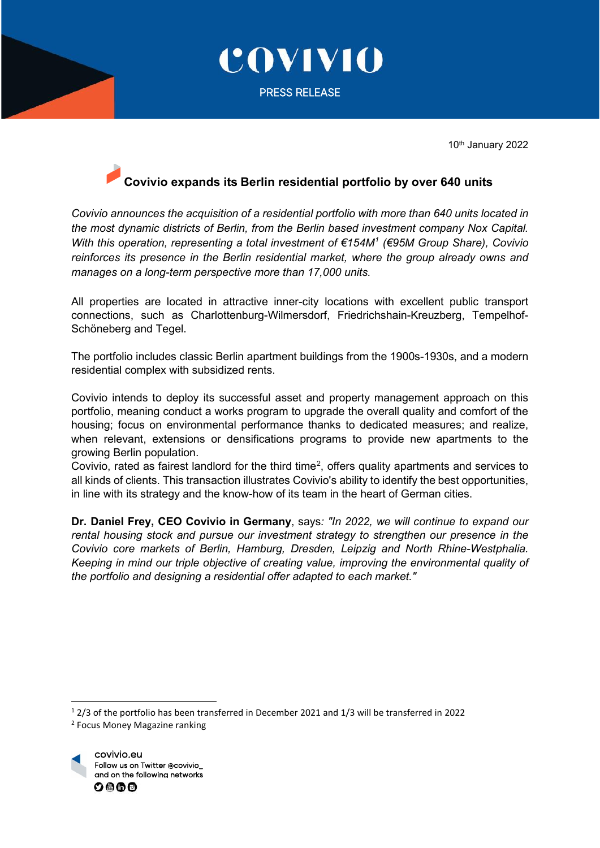

10th January 2022

## **Covivio expands its Berlin residential portfolio by over 640 units**

*Covivio announces the acquisition of a residential portfolio with more than 640 units located in the most dynamic districts of Berlin, from the Berlin based investment company Nox Capital. With this operation, representing a total investment of €154M[1](#page-0-0) (€95M Group Share), Covivio reinforces its presence in the Berlin residential market, where the group already owns and manages on a long-term perspective more than 17,000 units.* 

All properties are located in attractive inner-city locations with excellent public transport connections, such as Charlottenburg-Wilmersdorf, Friedrichshain-Kreuzberg, Tempelhof-Schöneberg and Tegel.

The portfolio includes classic Berlin apartment buildings from the 1900s-1930s, and a modern residential complex with subsidized rents.

Covivio intends to deploy its successful asset and property management approach on this portfolio, meaning conduct a works program to upgrade the overall quality and comfort of the housing; focus on environmental performance thanks to dedicated measures; and realize, when relevant, extensions or densifications programs to provide new apartments to the growing Berlin population.

Covivio, rated as fairest landlord for the third time<sup>[2](#page-0-1)</sup>, offers quality apartments and services to all kinds of clients. This transaction illustrates Covivio's ability to identify the best opportunities, in line with its strategy and the know-how of its team in the heart of German cities.

**Dr. Daniel Frey, CEO Covivio in Germany**, says*: "In 2022, we will continue to expand our rental housing stock and pursue our investment strategy to strengthen our presence in the Covivio core markets of Berlin, Hamburg, Dresden, Leipzig and North Rhine-Westphalia. Keeping in mind our triple objective of creating value, improving the environmental quality of the portfolio and designing a residential offer adapted to each market."*

<span id="page-0-1"></span><sup>2</sup> Focus Money Magazine ranking



<span id="page-0-0"></span><sup>1</sup> 2/3 of the portfolio has been transferred in December 2021 and 1/3 will be transferred in 2022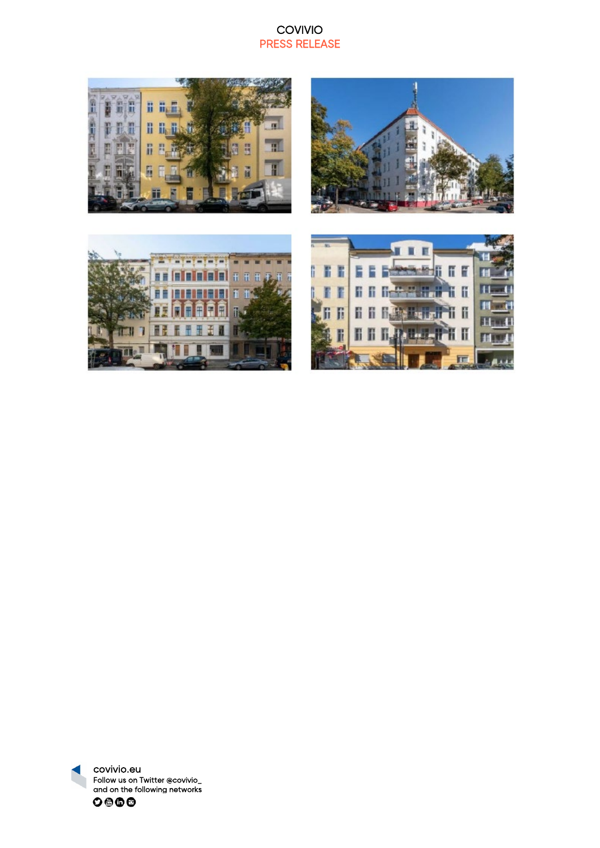## COVIVIO PRESS RELEASE